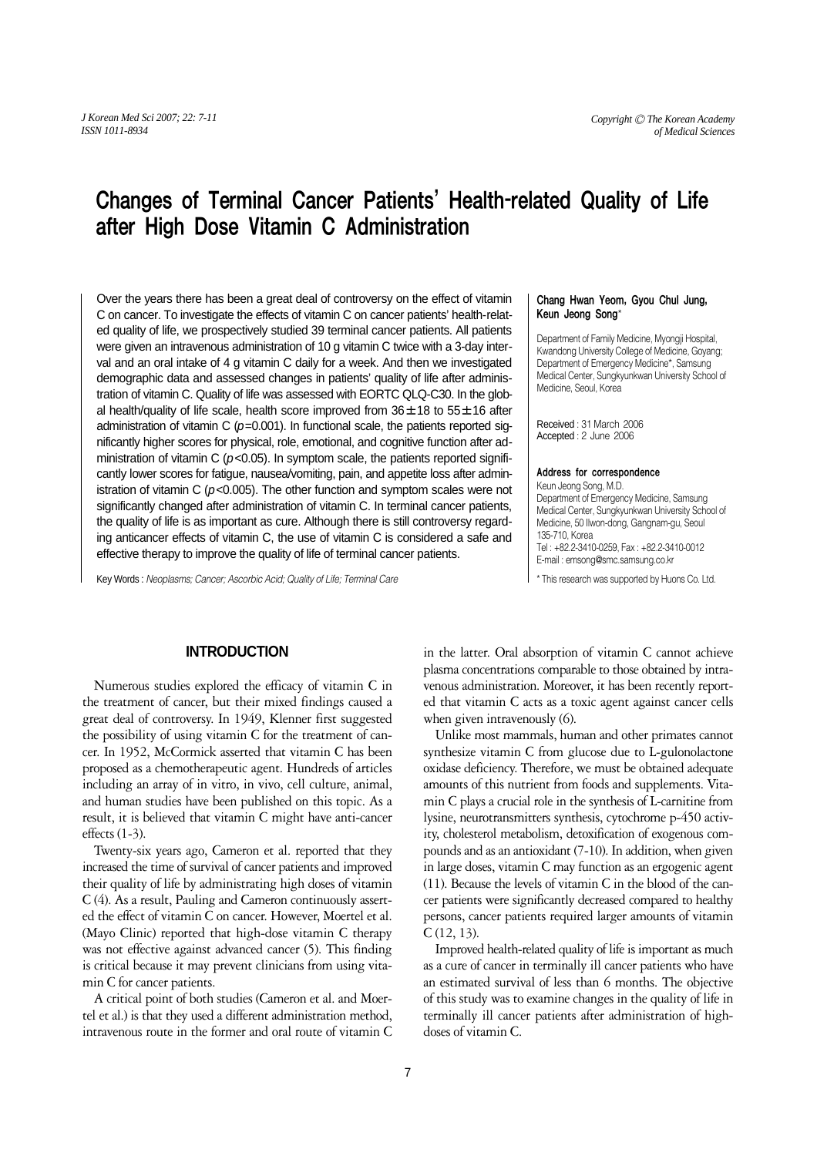# Changes of Terminal Cancer Patients' Health-related Quality of Life after High Dose Vitamin C Administration

Over the years there has been a great deal of controversy on the effect of vitamin C on cancer. To investigate the effects of vitamin C on cancer patients' health-related quality of life, we prospectively studied 39 terminal cancer patients. All patients were given an intravenous administration of 10 g vitamin C twice with a 3-day interval and an oral intake of 4 g vitamin C daily for a week. And then we investigated demographic data and assessed changes in patients' quality of life after administration of vitamin C. Quality of life was assessed with EORTC QLQ-C30. In the global health/quality of life scale, health score improved from  $36 \pm 18$  to  $55 \pm 16$  after administration of vitamin C ( $p=0.001$ ). In functional scale, the patients reported significantly higher scores for physical, role, emotional, and cognitive function after administration of vitamin C ( $p$ <0.05). In symptom scale, the patients reported significantly lower scores for fatigue, nausea/vomiting, pain, and appetite loss after administration of vitamin C ( $p$ <0.005). The other function and symptom scales were not significantly changed after administration of vitamin C. In terminal cancer patients, the quality of life is as important as cure. Although there is still controversy regarding anticancer effects of vitamin C, the use of vitamin C is considered a safe and effective therapy to improve the quality of life of terminal cancer patients.

Key Words : *Neoplasms; Cancer; Ascorbic Acid; Quality of Life; Terminal Care*

#### Chang Hwan Yeom, Gyou Chul Jung, Keun Jeong Song\*

Department of Family Medicine, Myongji Hospital, Kwandong University College of Medicine, Goyang; Department of Emergency Medicine\*, Samsung Medical Center, Sungkyunkwan University School of Medicine, Seoul, Korea

Received : 31 March 2006 Accepted : 2 June 2006

#### Address for correspondence

Keun Jeong Song, M.D. Department of Emergency Medicine, Samsung Medical Center, Sungkyunkwan University School of Medicine, 50 Ilwon-dong, Gangnam-gu, Seoul 135-710, Korea Tel : +82.2-3410-0259, Fax : +82.2-3410-0012 E-mail : emsong@smc.samsung.co.kr

\* This research was supported by Huons Co. Ltd.

#### **INTRODUCTION**

Numerous studies explored the efficacy of vitamin C in the treatment of cancer, but their mixed findings caused a great deal of controversy. In 1949, Klenner first suggested the possibility of using vitamin C for the treatment of cancer. In 1952, McCormick asserted that vitamin C has been proposed as a chemotherapeutic agent. Hundreds of articles including an array of in vitro, in vivo, cell culture, animal, and human studies have been published on this topic. As a result, it is believed that vitamin C might have anti-cancer effects (1-3).

Twenty-six years ago, Cameron et al. reported that they increased the time of survival of cancer patients and improved their quality of life by administrating high doses of vitamin C (4). As a result, Pauling and Cameron continuously asserted the effect of vitamin C on cancer. However, Moertel et al. (Mayo Clinic) reported that high-dose vitamin C therapy was not effective against advanced cancer (5). This finding is critical because it may prevent clinicians from using vitamin C for cancer patients.

A critical point of both studies (Cameron et al. and Moertel et al.) is that they used a different administration method, intravenous route in the former and oral route of vitamin C

in the latter. Oral absorption of vitamin C cannot achieve plasma concentrations comparable to those obtained by intravenous administration. Moreover, it has been recently reported that vitamin C acts as a toxic agent against cancer cells when given intravenously (6).

Unlike most mammals, human and other primates cannot synthesize vitamin C from glucose due to L-gulonolactone oxidase deficiency. Therefore, we must be obtained adequate amounts of this nutrient from foods and supplements. Vitamin C plays a crucial role in the synthesis of L-carnitine from lysine, neurotransmitters synthesis, cytochrome p-450 activity, cholesterol metabolism, detoxification of exogenous compounds and as an antioxidant (7-10). In addition, when given in large doses, vitamin C may function as an ergogenic agent (11). Because the levels of vitamin C in the blood of the cancer patients were significantly decreased compared to healthy persons, cancer patients required larger amounts of vitamin  $C(12, 13)$ .

Improved health-related quality of life is important as much as a cure of cancer in terminally ill cancer patients who have an estimated survival of less than 6 months. The objective of this study was to examine changes in the quality of life in terminally ill cancer patients after administration of highdoses of vitamin C.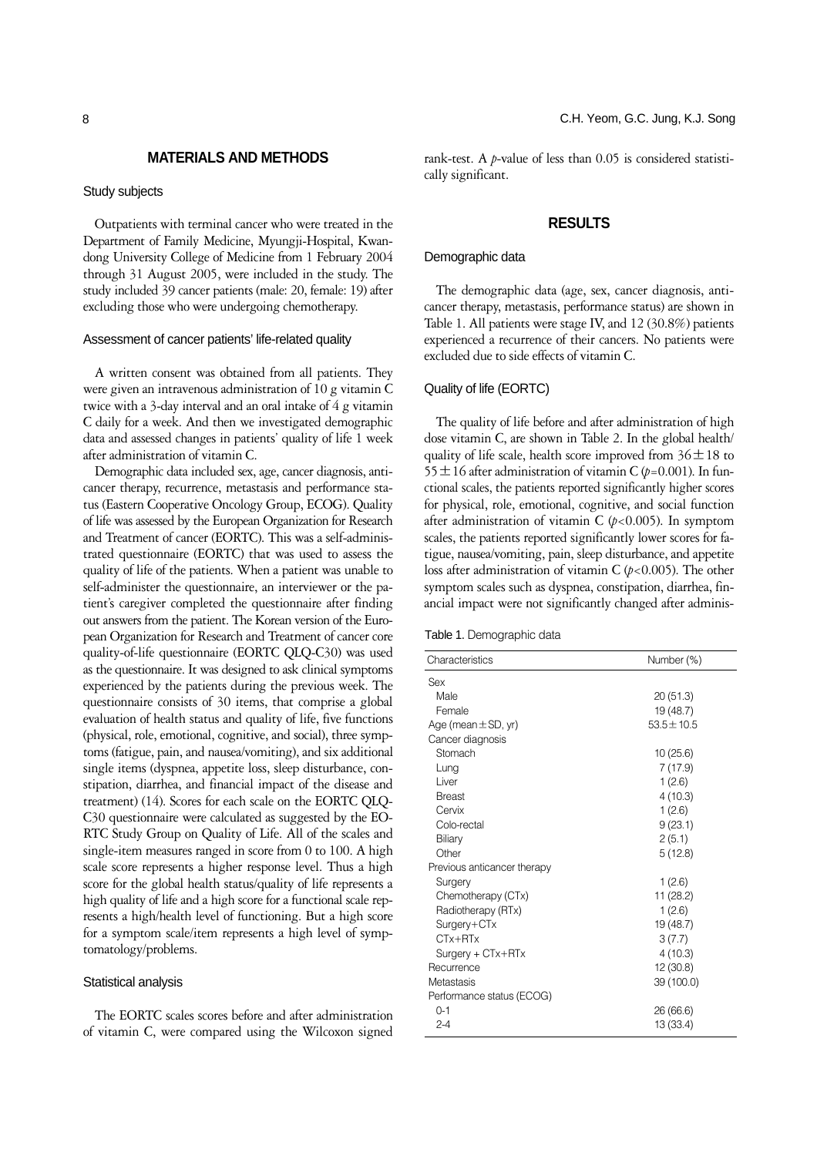## **MATERIALS AND METHODS**

## Study subjects

Outpatients with terminal cancer who were treated in the Department of Family Medicine, Myungji-Hospital, Kwandong University College of Medicine from 1 February 2004 through 31 August 2005, were included in the study. The study included 39 cancer patients (male: 20, female: 19) after excluding those who were undergoing chemotherapy.

#### Assessment of cancer patients' life-related quality

A written consent was obtained from all patients. They were given an intravenous administration of 10 g vitamin C twice with a 3-day interval and an oral intake of 4 g vitamin C daily for a week. And then we investigated demographic data and assessed changes in patients' quality of life 1 week after administration of vitamin C.

Demographic data included sex, age, cancer diagnosis, anticancer therapy, recurrence, metastasis and performance status (Eastern Cooperative Oncology Group, ECOG). Quality of life was assessed by the European Organization for Research and Treatment of cancer (EORTC). This was a self-administrated questionnaire (EORTC) that was used to assess the quality of life of the patients. When a patient was unable to self-administer the questionnaire, an interviewer or the patient's caregiver completed the questionnaire after finding out answers from the patient. The Korean version of the European Organization for Research and Treatment of cancer core quality-of-life questionnaire (EORTC QLQ-C30) was used as the questionnaire. It was designed to ask clinical symptoms experienced by the patients during the previous week. The questionnaire consists of 30 items, that comprise a global evaluation of health status and quality of life, five functions (physical, role, emotional, cognitive, and social), three symptoms (fatigue, pain, and nausea/vomiting), and six additional single items (dyspnea, appetite loss, sleep disturbance, constipation, diarrhea, and financial impact of the disease and treatment) (14). Scores for each scale on the EORTC QLQ-C30 questionnaire were calculated as suggested by the EO-RTC Study Group on Quality of Life. All of the scales and single-item measures ranged in score from 0 to 100. A high scale score represents a higher response level. Thus a high score for the global health status/quality of life represents a high quality of life and a high score for a functional scale represents a high/health level of functioning. But a high score for a symptom scale/item represents a high level of symptomatology/problems.

#### Statistical analysis

The EORTC scales scores before and after administration of vitamin C, were compared using the Wilcoxon signed rank-test. A *p*-value of less than 0.05 is considered statistically significant.

## **RESULTS**

## Demographic data

The demographic data (age, sex, cancer diagnosis, anticancer therapy, metastasis, performance status) are shown in Table 1. All patients were stage IV, and 12 (30.8%) patients experienced a recurrence of their cancers. No patients were excluded due to side effects of vitamin C.

#### Quality of life (EORTC)

The quality of life before and after administration of high dose vitamin C, are shown in Table 2. In the global health/ quality of life scale, health score improved from  $36 \pm 18$  to 55  $\pm$  16 after administration of vitamin C ( $p$ =0.001). In functional scales, the patients reported significantly higher scores for physical, role, emotional, cognitive, and social function after administration of vitamin C (*p*<0.005). In symptom scales, the patients reported significantly lower scores for fatigue, nausea/vomiting, pain, sleep disturbance, and appetite loss after administration of vitamin C (*p*<0.005). The other symptom scales such as dyspnea, constipation, diarrhea, financial impact were not significantly changed after adminis-

| <b>Table 1.</b> Demographic data |  |
|----------------------------------|--|
|----------------------------------|--|

| Characteristics             | Number (%)      |
|-----------------------------|-----------------|
| Sex                         |                 |
| Male                        | 20(51.3)        |
| Female                      | 19 (48.7)       |
| Age (mean $\pm$ SD, yr)     | $53.5 \pm 10.5$ |
| Cancer diagnosis            |                 |
| Stomach                     | 10(25.6)        |
| Lung                        | 7(17.9)         |
| Liver                       | 1(2.6)          |
| <b>Breast</b>               | 4(10.3)         |
| Cervix                      | 1(2.6)          |
| Colo-rectal                 | 9(23.1)         |
| Biliary                     | 2(5.1)          |
| Other                       | 5(12.8)         |
| Previous anticancer therapy |                 |
| Surgery                     | 1(2.6)          |
| Chemotherapy (CTx)          | 11(28.2)        |
| Radiotherapy (RTx)          | 1(2.6)          |
| Surgery+CTx                 | 19 (48.7)       |
| $CTx + RTx$                 | 3(7.7)          |
| $Surgery + CTx + RTx$       | 4(10.3)         |
| Recurrence                  | 12(30.8)        |
| Metastasis                  | 39 (100.0)      |
| Performance status (ECOG)   |                 |
| $0 - 1$                     | 26 (66.6)       |
| $2 - 4$                     | 13 (33.4)       |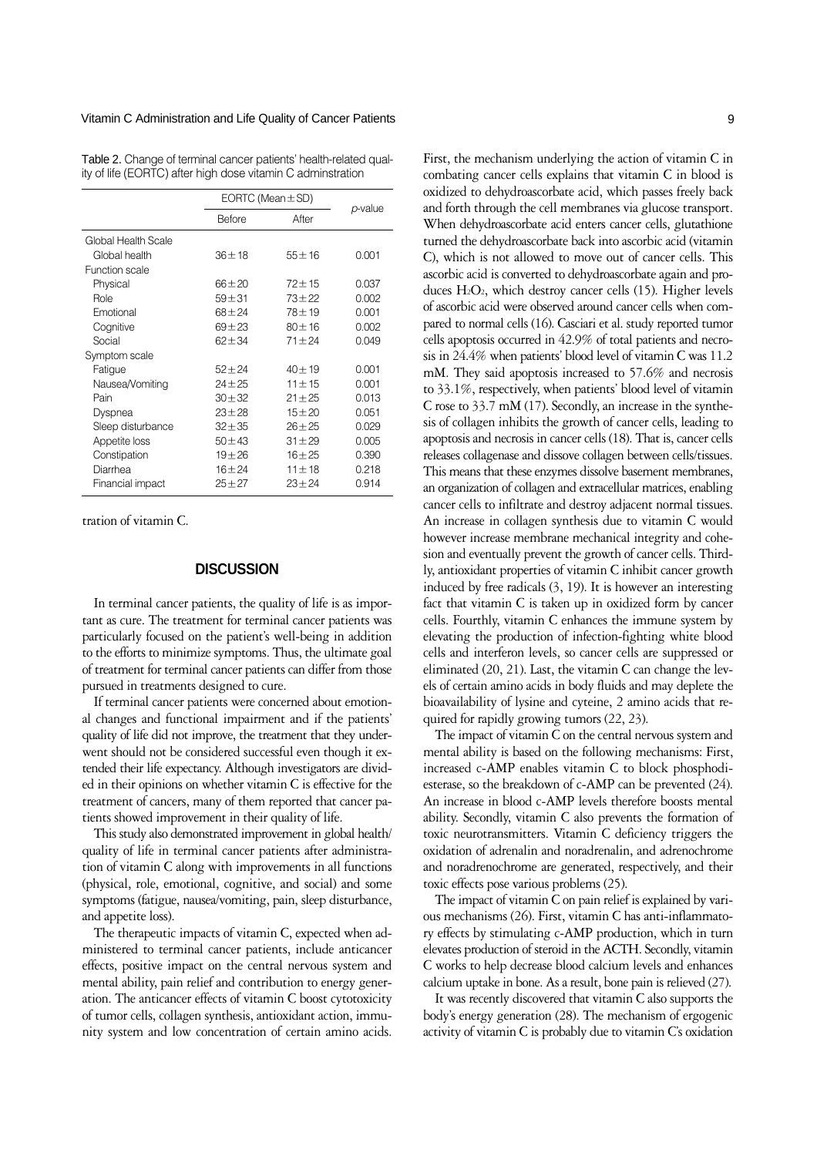#### Vitamin C Administration and Life Quality of Cancer Patients 9

|                     | EORTC (Mean $\pm$ SD) |             |         |  |
|---------------------|-----------------------|-------------|---------|--|
|                     | <b>Before</b>         | After       | p-value |  |
| Global Health Scale |                       |             |         |  |
| Global health       | $36 \pm 18$           | $55 \pm 16$ | 0.001   |  |
| Function scale      |                       |             |         |  |
| Physical            | $66 \pm 20$           | $72 + 15$   | 0.037   |  |
| Role                | $59 + 31$             | $73 + 22$   | 0.002   |  |
| Emotional           | $68 + 24$             | $78 + 19$   | 0.001   |  |
| Cognitive           | $69 + 23$             | $80 + 16$   | 0.002   |  |
| Social              | $62 + 34$             | $71 + 24$   | 0.049   |  |
| Symptom scale       |                       |             |         |  |
| Fatigue             | $52 + 24$             | $40 \pm 19$ | 0.001   |  |
| Nausea/Vomiting     | $24 \pm 25$           | $11 \pm 15$ | 0.001   |  |
| Pain                | $30 + 32$             | $21 \pm 25$ | 0.013   |  |
| Dyspnea             | $23 + 28$             | $15 + 20$   | 0.051   |  |
| Sleep disturbance   | $32 + 35$             | $26 \pm 25$ | 0.029   |  |
| Appetite loss       | $50 + 43$             | $31 + 29$   | 0.005   |  |
| Constipation        | $19 + 26$             | $16 + 25$   | 0.390   |  |
| Diarrhea            | $16 + 24$             | $11 \pm 18$ | 0.218   |  |
| Financial impact    | $25 + 27$             | $23 + 24$   | 0.914   |  |

Table 2. Change of terminal cancer patients' health-related quality of life (EORTC) after high dose vitamin C adminstration

tration of vitamin C.

## **DISCUSSION**

In terminal cancer patients, the quality of life is as important as cure. The treatment for terminal cancer patients was particularly focused on the patient's well-being in addition to the efforts to minimize symptoms. Thus, the ultimate goal of treatment for terminal cancer patients can differ from those pursued in treatments designed to cure.

If terminal cancer patients were concerned about emotional changes and functional impairment and if the patients' quality of life did not improve, the treatment that they underwent should not be considered successful even though it extended their life expectancy. Although investigators are divided in their opinions on whether vitamin C is effective for the treatment of cancers, many of them reported that cancer patients showed improvement in their quality of life.

This study also demonstrated improvement in global health/ quality of life in terminal cancer patients after administration of vitamin C along with improvements in all functions (physical, role, emotional, cognitive, and social) and some symptoms (fatigue, nausea/vomiting, pain, sleep disturbance, and appetite loss).

The therapeutic impacts of vitamin C, expected when administered to terminal cancer patients, include anticancer effects, positive impact on the central nervous system and mental ability, pain relief and contribution to energy generation. The anticancer effects of vitamin C boost cytotoxicity of tumor cells, collagen synthesis, antioxidant action, immunity system and low concentration of certain amino acids.

First, the mechanism underlying the action of vitamin C in combating cancer cells explains that vitamin C in blood is oxidized to dehydroascorbate acid, which passes freely back and forth through the cell membranes via glucose transport. When dehydroascorbate acid enters cancer cells, glutathione turned the dehydroascorbate back into ascorbic acid (vitamin C), which is not allowed to move out of cancer cells. This ascorbic acid is converted to dehydroascorbate again and produces H<sub>2</sub>O<sub>2</sub>, which destroy cancer cells (15). Higher levels of ascorbic acid were observed around cancer cells when compared to normal cells (16). Casciari et al. study reported tumor cells apoptosis occurred in 42.9% of total patients and necrosis in 24.4% when patients' blood level of vitamin C was 11.2 mM. They said apoptosis increased to 57.6% and necrosis to 33.1%, respectively, when patients' blood level of vitamin C rose to 33.7 mM (17). Secondly, an increase in the synthesis of collagen inhibits the growth of cancer cells, leading to apoptosis and necrosis in cancer cells (18). That is, cancer cells releases collagenase and dissove collagen between cells/tissues. This means that these enzymes dissolve basement membranes, an organization of collagen and extracellular matrices, enabling cancer cells to infiltrate and destroy adjacent normal tissues. An increase in collagen synthesis due to vitamin C would however increase membrane mechanical integrity and cohesion and eventually prevent the growth of cancer cells. Thirdly, antioxidant properties of vitamin C inhibit cancer growth induced by free radicals (3, 19). It is however an interesting fact that vitamin C is taken up in oxidized form by cancer cells. Fourthly, vitamin C enhances the immune system by elevating the production of infection-fighting white blood cells and interferon levels, so cancer cells are suppressed or eliminated (20, 21). Last, the vitamin C can change the levels of certain amino acids in body fluids and may deplete the bioavailability of lysine and cyteine, 2 amino acids that required for rapidly growing tumors (22, 23).

The impact of vitamin C on the central nervous system and mental ability is based on the following mechanisms: First, increased c-AMP enables vitamin C to block phosphodiesterase, so the breakdown of c-AMP can be prevented (24). An increase in blood c-AMP levels therefore boosts mental ability. Secondly, vitamin C also prevents the formation of toxic neurotransmitters. Vitamin C deficiency triggers the oxidation of adrenalin and noradrenalin, and adrenochrome and noradrenochrome are generated, respectively, and their toxic effects pose various problems (25).

The impact of vitamin C on pain relief is explained by various mechanisms (26). First, vitamin C has anti-inflammatory effects by stimulating c-AMP production, which in turn elevates production of steroid in the ACTH. Secondly, vitamin C works to help decrease blood calcium levels and enhances calcium uptake in bone. As a result, bone pain is relieved (27).

It was recently discovered that vitamin C also supports the body's energy generation (28). The mechanism of ergogenic activity of vitamin C is probably due to vitamin C's oxidation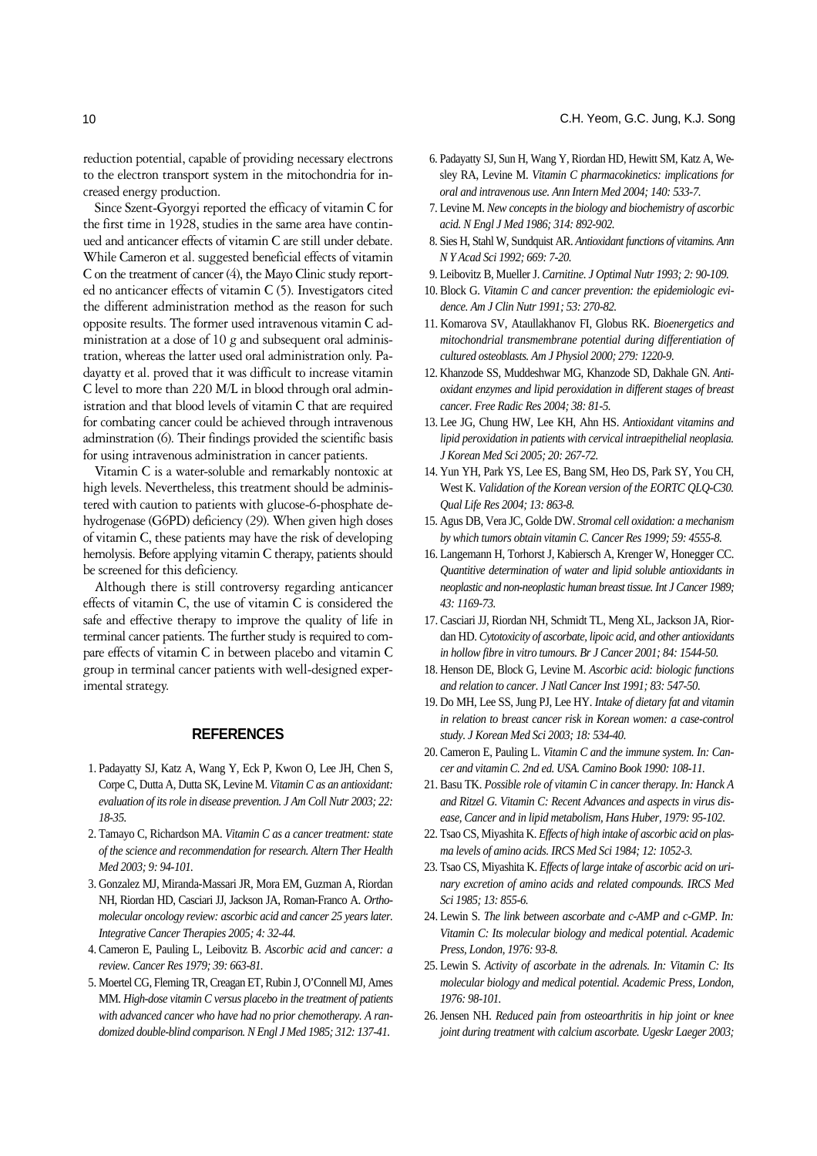reduction potential, capable of providing necessary electrons to the electron transport system in the mitochondria for increased energy production.

Since Szent-Gyorgyi reported the efficacy of vitamin C for the first time in 1928, studies in the same area have continued and anticancer effects of vitamin C are still under debate. While Cameron et al. suggested beneficial effects of vitamin C on the treatment of cancer (4), the Mayo Clinic study reported no anticancer effects of vitamin C (5). Investigators cited the different administration method as the reason for such opposite results. The former used intravenous vitamin C administration at a dose of 10 g and subsequent oral administration, whereas the latter used oral administration only. Padayatty et al. proved that it was difficult to increase vitamin C level to more than 220 M/L in blood through oral administration and that blood levels of vitamin C that are required for combating cancer could be achieved through intravenous adminstration (6). Their findings provided the scientific basis for using intravenous administration in cancer patients.

Vitamin C is a water-soluble and remarkably nontoxic at high levels. Nevertheless, this treatment should be administered with caution to patients with glucose-6-phosphate dehydrogenase (G6PD) deficiency (29). When given high doses of vitamin C, these patients may have the risk of developing hemolysis. Before applying vitamin C therapy, patients should be screened for this deficiency.

Although there is still controversy regarding anticancer effects of vitamin C, the use of vitamin C is considered the safe and effective therapy to improve the quality of life in terminal cancer patients. The further study is required to compare effects of vitamin C in between placebo and vitamin C group in terminal cancer patients with well-designed experimental strategy.

## **REFERENCES**

- 1. Padayatty SJ, Katz A, Wang Y, Eck P, Kwon O, Lee JH, Chen S, Corpe C, Dutta A, Dutta SK, Levine M. *Vitamin C as an antioxidant: evaluation of its role in disease prevention. J Am Coll Nutr 2003; 22: 18-35.*
- 2. Tamayo C, Richardson MA. *Vitamin C as a cancer treatment: state of the science and recommendation for research. Altern Ther Health Med 2003; 9: 94-101.*
- 3. Gonzalez MJ, Miranda-Massari JR, Mora EM, Guzman A, Riordan NH, Riordan HD, Casciari JJ, Jackson JA, Roman-Franco A. *Orthomolecular oncology review: ascorbic acid and cancer 25 years later. Integrative Cancer Therapies 2005; 4: 32-44.*
- 4. Cameron E, Pauling L, Leibovitz B. *Ascorbic acid and cancer: a review. Cancer Res 1979; 39: 663-81.*
- 5. Moertel CG, Fleming TR, Creagan ET, Rubin J, O'Connell MJ, Ames MM. *High-dose vitamin C versus placebo in the treatment of patients with advanced cancer who have had no prior chemotherapy. A randomized double-blind comparison. N Engl J Med 1985; 312: 137-41.*
- 6. Padayatty SJ, Sun H, Wang Y, Riordan HD, Hewitt SM, Katz A, Wesley RA, Levine M. *Vitamin C pharmacokinetics: implications for oral and intravenous use. Ann Intern Med 2004; 140: 533-7.*
- 7. Levine M. *New concepts in the biology and biochemistry of ascorbic acid. N Engl J Med 1986; 314: 892-902.*
- 8. Sies H, Stahl W, Sundquist AR. *Antioxidant functions of vitamins. Ann N Y Acad Sci 1992; 669: 7-20.*
- 9. Leibovitz B, Mueller J. *Carnitine*. *J Optimal Nutr 1993; 2: 90-109.*
- 10. Block G. *Vitamin C and cancer prevention: the epidemiologic evidence. Am J Clin Nutr 1991; 53: 270-82.*
- 11. Komarova SV, Ataullakhanov FI, Globus RK. *Bioenergetics and mitochondrial transmembrane potential during differentiation of cultured osteoblasts. Am J Physiol 2000; 279: 1220-9.*
- 12. Khanzode SS, Muddeshwar MG, Khanzode SD, Dakhale GN. *Antioxidant enzymes and lipid peroxidation in different stages of breast cancer. Free Radic Res 2004; 38: 81-5.*
- 13. Lee JG, Chung HW, Lee KH, Ahn HS. *Antioxidant vitamins and lipid peroxidation in patients with cervical intraepithelial neoplasia. J Korean Med Sci 2005; 20: 267-72.*
- 14. Yun YH, Park YS, Lee ES, Bang SM, Heo DS, Park SY, You CH, West K. *Validation of the Korean version of the EORTC QLQ-C30. Qual Life Res 2004; 13: 863-8.*
- 15. Agus DB, Vera JC, Golde DW. *Stromal cell oxidation: a mechanism by which tumors obtain vitamin C. Cancer Res 1999; 59: 4555-8.*
- 16. Langemann H, Torhorst J, Kabiersch A, Krenger W, Honegger CC. *Quantitive determination of water and lipid soluble antioxidants in neoplastic and non-neoplastic human breast tissue. Int J Cancer 1989; 43: 1169-73.*
- 17. Casciari JJ, Riordan NH, Schmidt TL, Meng XL, Jackson JA, Riordan HD. *Cytotoxicity of ascorbate, lipoic acid, and other antioxidants in hollow fibre in vitro tumours. Br J Cancer 2001; 84: 1544-50.*
- 18. Henson DE, Block G, Levine M. *Ascorbic acid: biologic functions and relation to cancer. J Natl Cancer Inst 1991; 83: 547-50.*
- 19. Do MH, Lee SS, Jung PJ, Lee HY. *Intake of dietary fat and vitamin in relation to breast cancer risk in Korean women: a case-control study. J Korean Med Sci 2003; 18: 534-40.*
- 20. Cameron E, Pauling L. *Vitamin C and the immune system. In: Cancer and vitamin C. 2nd ed. USA. Camino Book 1990: 108-11.*
- 21. Basu TK. *Possible role of vitamin C in cancer therapy. In: Hanck A and Ritzel G. Vitamin C: Recent Advances and aspects in virus disease, Cancer and in lipid metabolism, Hans Huber, 1979: 95-102.*
- 22. Tsao CS, Miyashita K. *Effects of high intake of ascorbic acid on plasma levels of amino acids. IRCS Med Sci 1984; 12: 1052-3.*
- 23. Tsao CS, Miyashita K. *Effects of large intake of ascorbic acid on urinary excretion of amino acids and related compounds. IRCS Med Sci 1985; 13: 855-6.*
- 24. Lewin S. *The link between ascorbate and c-AMP and c-GMP. In: Vitamin C: Its molecular biology and medical potential. Academic Press, London, 1976: 93-8.*
- 25. Lewin S. *Activity of ascorbate in the adrenals. In: Vitamin C: Its molecular biology and medical potential. Academic Press, London, 1976: 98-101.*
- 26. Jensen NH. *Reduced pain from osteoarthritis in hip joint or knee joint during treatment with calcium ascorbate. Ugeskr Laeger 2003;*